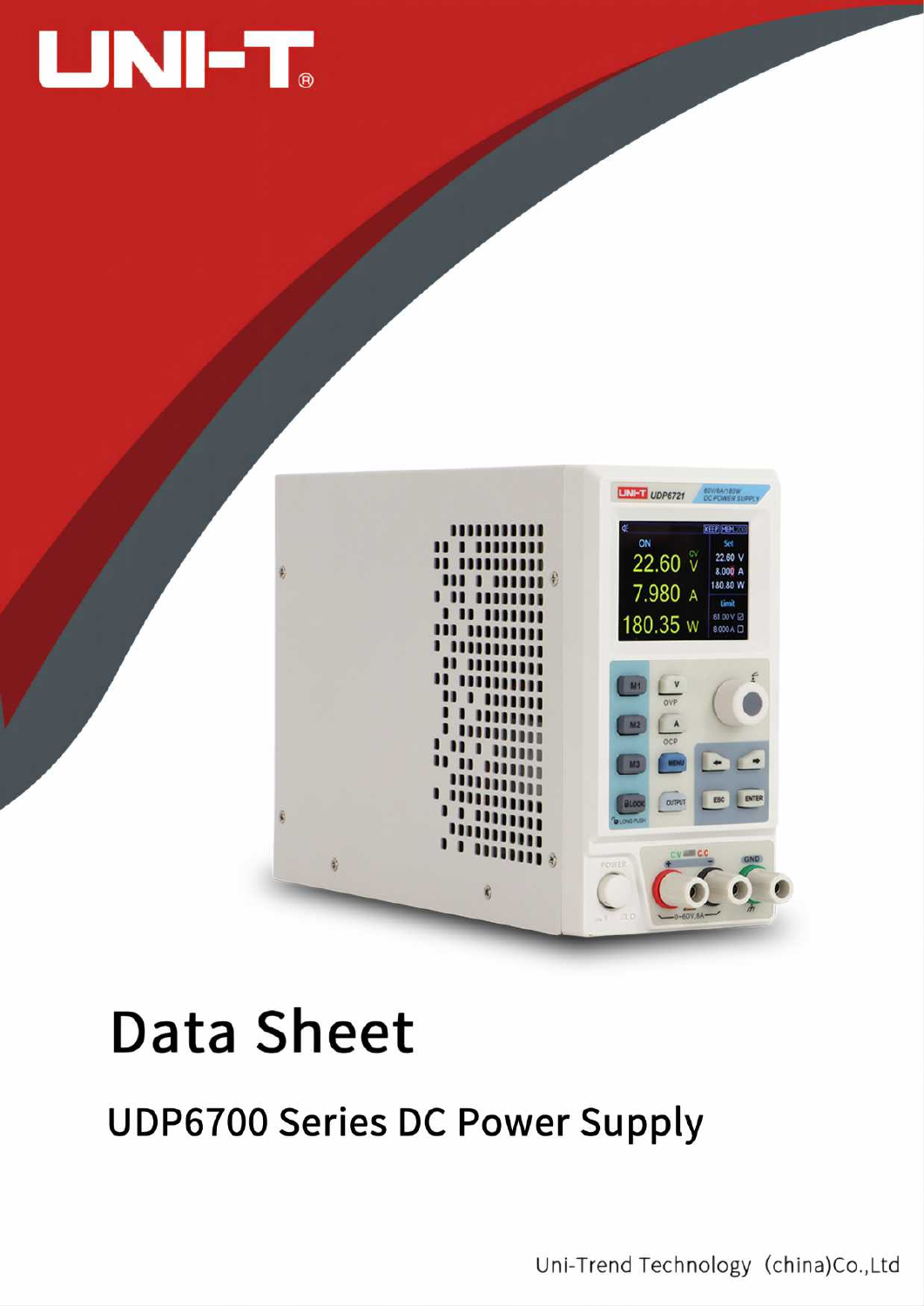



# **Data Sheet**

## **UDP6700 Series DC Power Supply**

Uni-Trend Technology (china)Co.,Ltd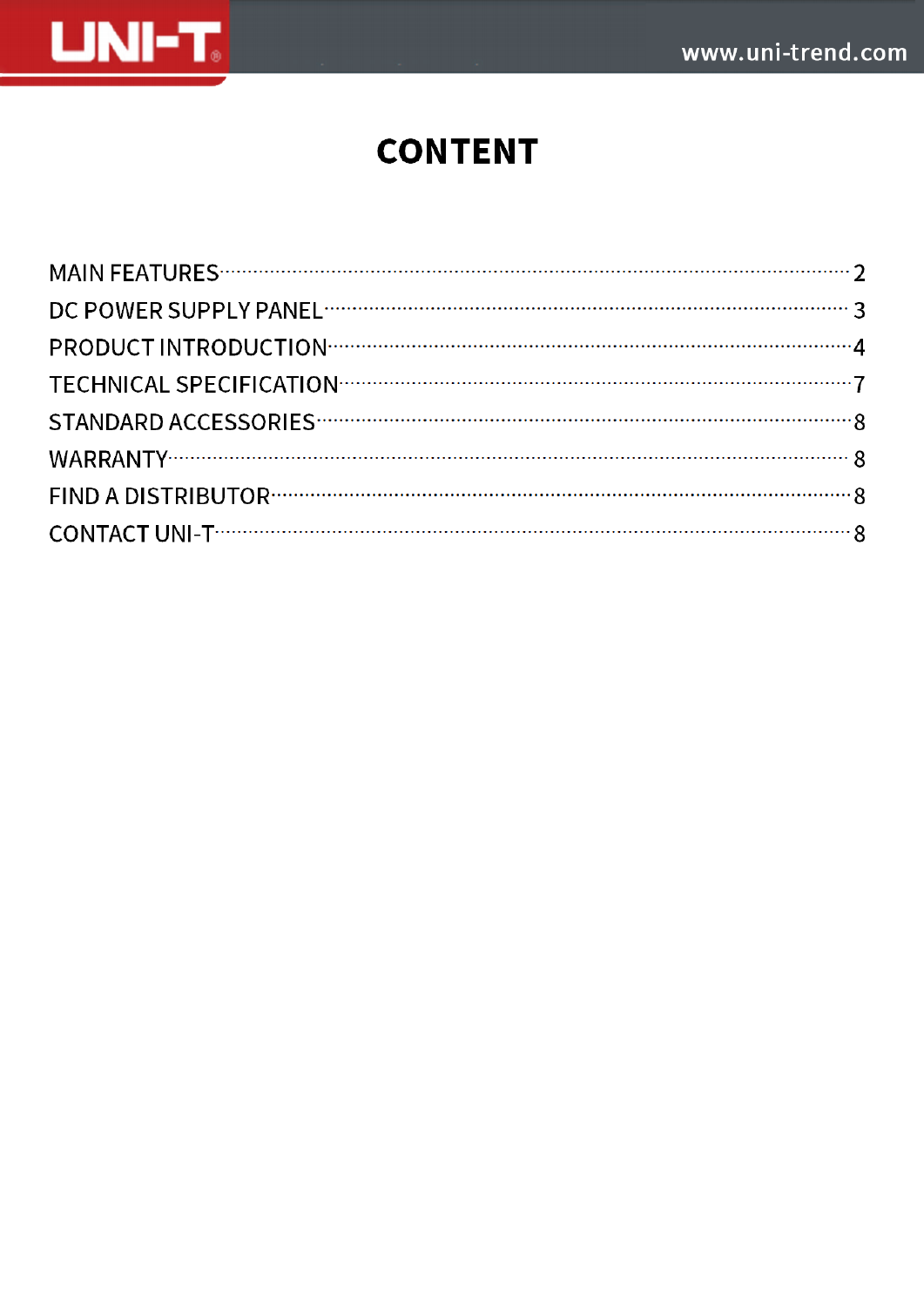

## **CONTENT**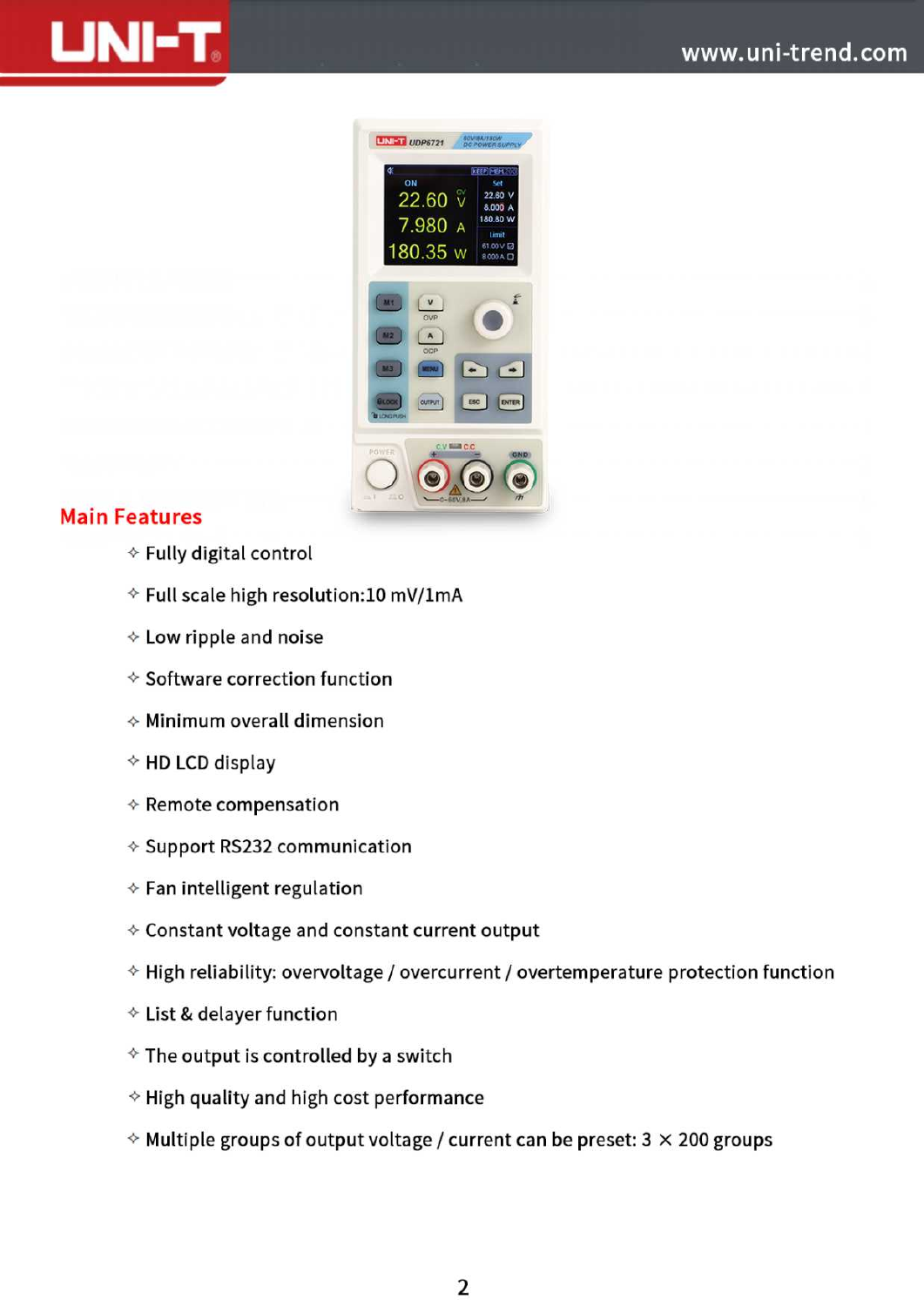



### **Main Features**

- $\div$  Fully digital control
- $\diamond$  Full scale high resolution:10 mV/1mA
- $\div$  Low ripple and noise
- *<* Software correction function
- $\Diamond$  Minimum overall dimension
- $\diamond$  HD LCD display
- $\Leftrightarrow$  Remote compensation
- $\Diamond$  Support RS232 communication
- $\Diamond$  Fan intelligent regulation
- $\diamond$  Constant voltage and constant current output
- $\Diamond$  High reliability: overvoltage / overcurrent / overtemperature protection function
- $\triangle$  List & delayer function
- $\diamond$  The output is controlled by a switch
- $\Diamond$  High quality and high cost performance
- $\Diamond$  Multiple groups of output voltage / current can be preset: 3  $\times$  200 groups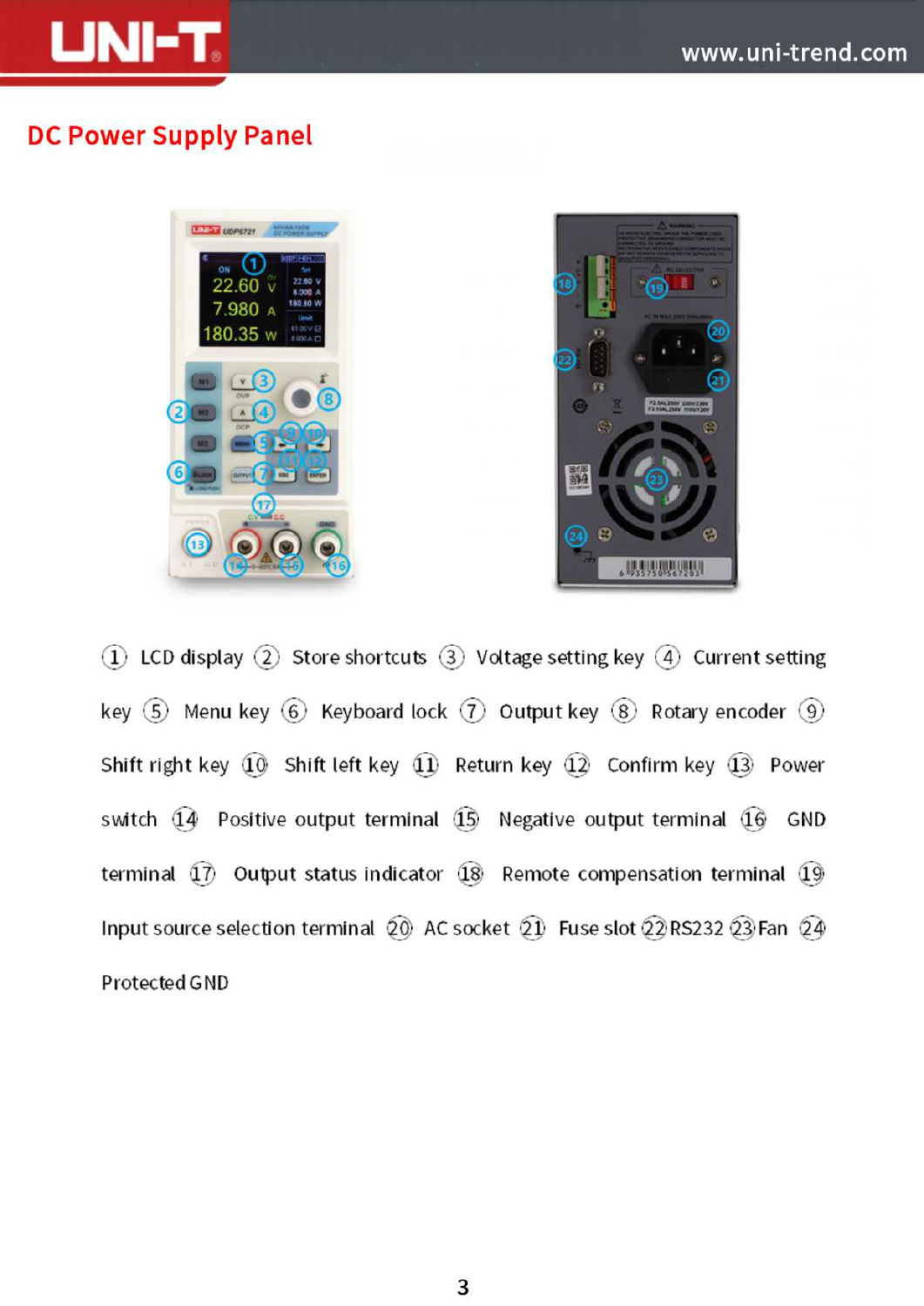

### **DC Power Supply Panel**





1) LCD display  $(2)$  Store shortcuts  $(3)$  Voltage setting key  $(4)$  Current setting key  $(5)$  Menu key  $(6)$  Keyboard lock  $(7)$  Output key  $(8)$  Rotary encoder  $(9)$ Shift right key  $\widehat{10}$  Shift left key  $\widehat{11}$  Return key  $\widehat{12}$  Confirm key  $\widehat{13}$  Power switch 14 Positive output terminal 15 Negative output terminal 16 GND terminal  $\widehat{17}$  Output status indicator  $\widehat{18}$  Remote compensation terminal  $\widehat{19}$ Input source selection terminal  $\Omega$  AC socket  $\Omega$  Fuse slot  $\Omega$  RS232  $\Omega$  Fan  $\Omega$ 4 Protected GND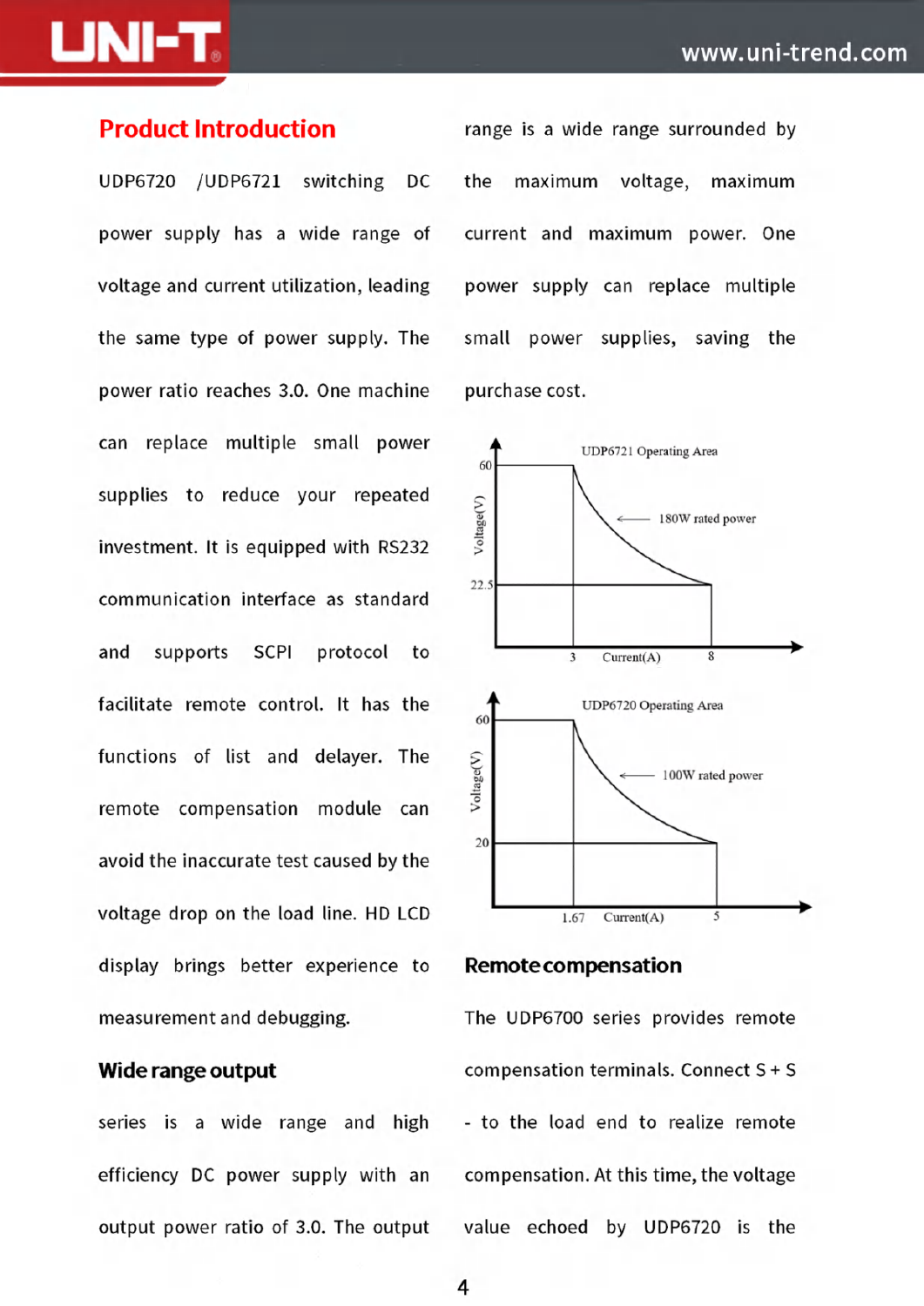power supply has <sup>a</sup> wide range of current and maximum power. One voltage and current utilization, leading power supply can replace multiple the same type of power supply. The small power supplies, saving the power ratio reaches 3.0. One machine purchase cost. can replace multiple small power **A** UDP6721 Operating Area supplies to reduce your repeated investment. It is equipped with RS232 **<sup>&</sup>gt;** communication interface as standard and supports SCPI protocol to  $\frac{1}{3}$  Current(A) facilitate remote control. It has the  $\uparrow$  UDP6720 Operating Area functions of list and delayer. The remote compensation module can avoid the inaccurate test caused by the voltage drop on the load line. HD LCD  $1.67$  Current(A) display brings better experience to **Remotecompensation** measurement and debugging. The UDP6700 series provides remote

series is a wide range and high - to the load end to realize remote efficiency DC power supply with an compensation. At this time, the voltage

**Product Introduction** range is a wide range surrounded by UDP6720 /UDP6721 switching DC the maximum voltage, maximum





**Wide range output** compensation terminals. Connect S + S output power ratio of 3.0. The output value echoed by UDP6720 is the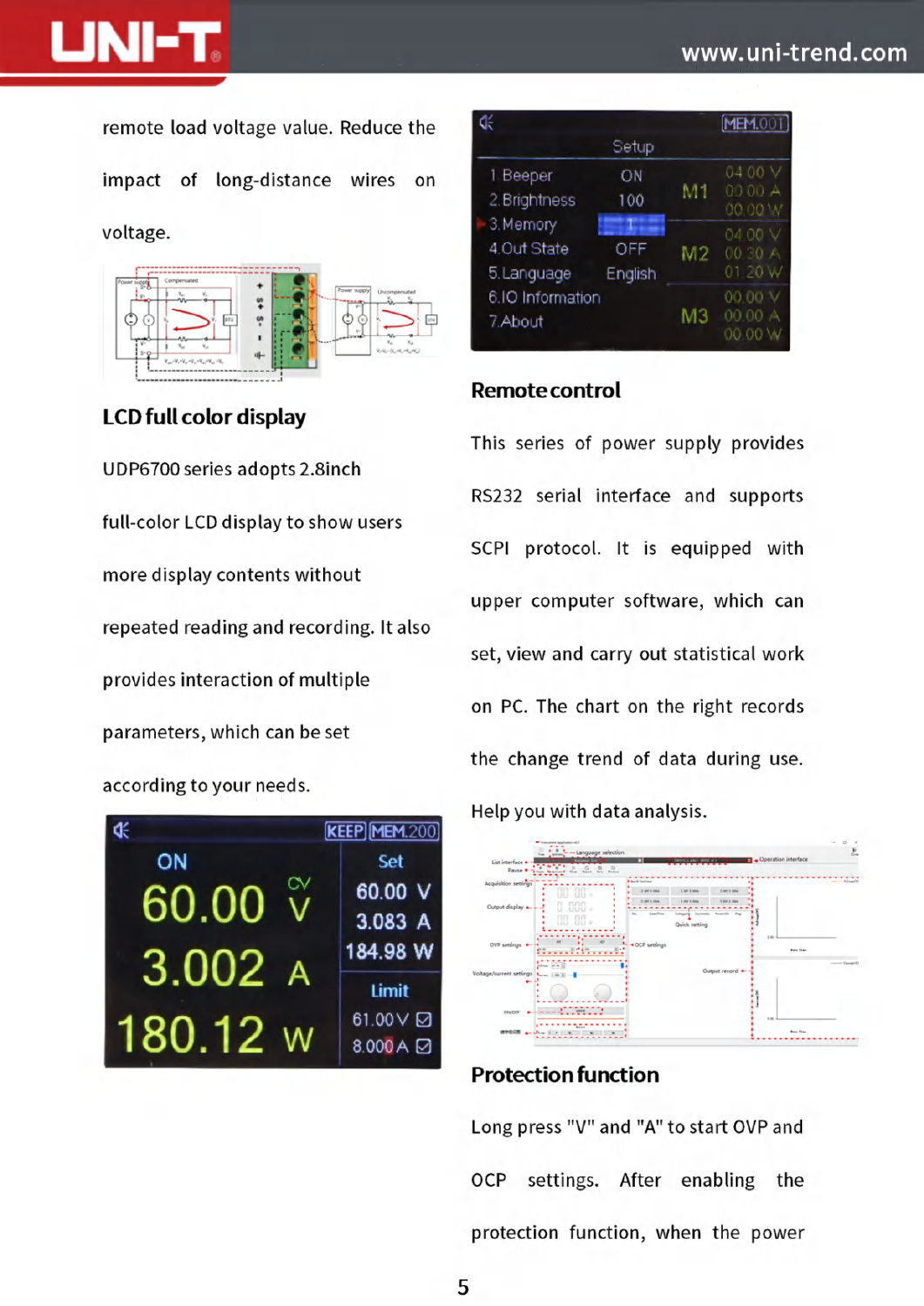

remote load voltage value. Reduce the

impact of long-distance wires on

voltage.



#### **LCD full color display**

UDP6700 series adopts 2.8inch full-color LCD display to show users more display contents without repeated reading and recording. It also provides interaction of multiple parameters, which can be set

#### according to your needs.



| Œ                                       |                |    | <b>MEM.001</b>                |
|-----------------------------------------|----------------|----|-------------------------------|
|                                         | Setup          |    |                               |
| 1 Beeper<br>2. Brightness               | ΟN<br>100      | M1 | 04 00 V<br>00.00 A<br>00.00 W |
| 3. Memory<br>4.Out State<br>5. Language | OFF<br>English | M2 | 04 00 V<br>00.30A<br>01 20 W  |
| 6.IO Information<br>7.About             |                | MЗ | 00.00 V<br>00.00 A<br>00.00 W |

#### **Remote control**

This series of power supply provides RS232 serial interface and supports SCPI protocol. It is equipped with upper computer software, which can set, view and carry out statistical work on PC. The chart on the right records the change trend of data during use. Help you with data analysis.



#### **Protection function**

Long press "V" and "A" to start OVP and **OCP** settings. After enabling the protection function, when the power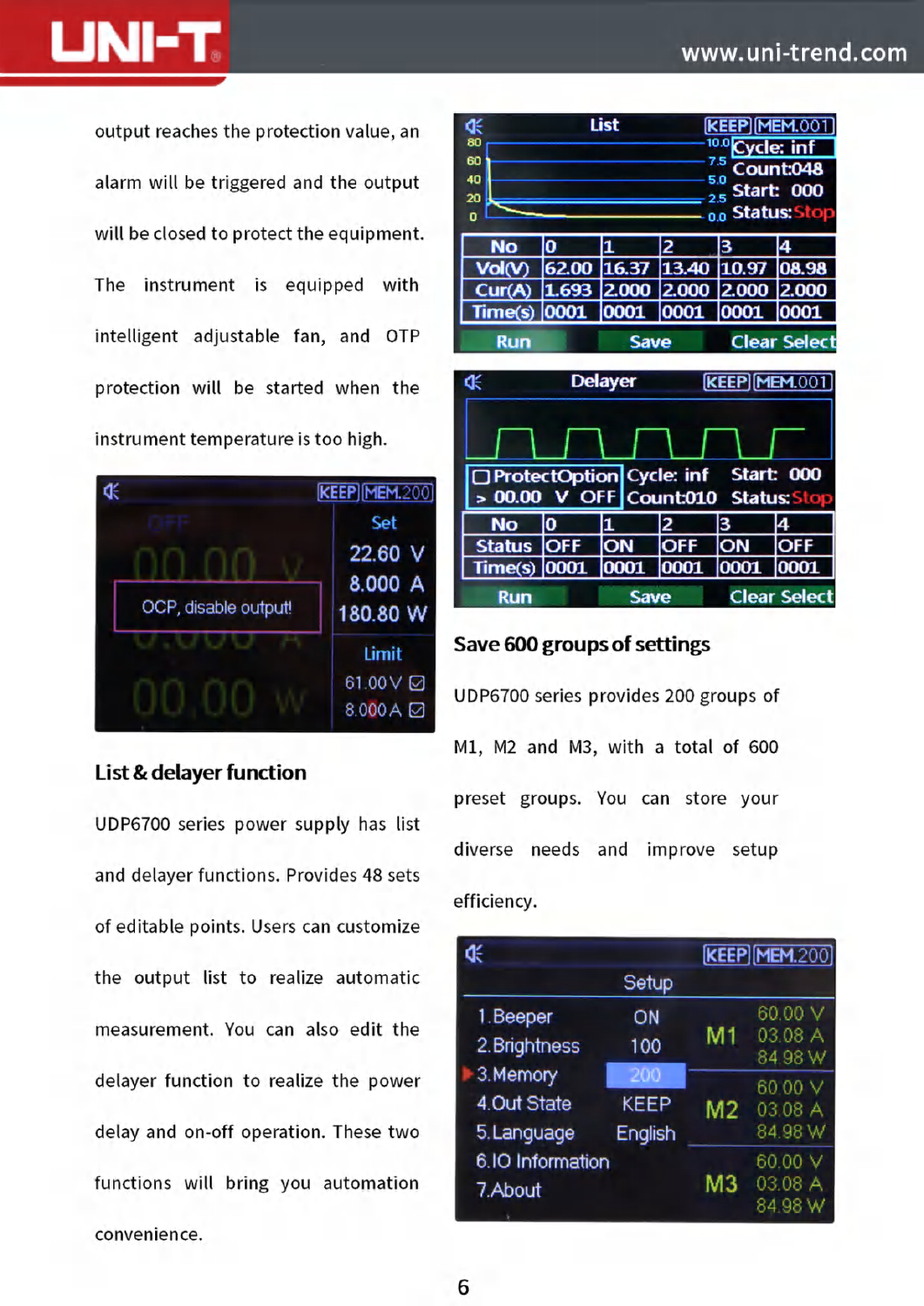

alarm will be triggered and the output  $\frac{40}{20}$ will be closed to protect the equipment. The instrument is equipped with protection will be started when the **SHF SHF SHF SHF** instrument temperature is too high.



#### **List & delayer function**

UDP6700 series power supply has list and delayer functions. Provides <sup>48</sup> sets of editable points. Users can customize the output list to realize automatic measurement. You can also edit the delayer function to realize the power delay and on-off operation. These two functions will bring you automation convenience.



#### **Save 600 groupsof settings** Limit

UDP6700 series provides 200 groups of Ml, M2 and M3, with <sup>a</sup> total of <sup>600</sup> preset groups. You can store your diverse needs and improve setup efficiency.

| Œ                |             |         | <b>KEEP MEM.200</b> |
|------------------|-------------|---------|---------------------|
|                  | Setup       |         |                     |
| 1. Beeper        | ON          |         | 60.00 V             |
| 2. Brightness    | 100         | М1      | 03.08 A<br>84 98 W  |
| 3. Memory        | 200         |         | 60.00 V             |
| 4.Out State      | <b>KEEP</b> | M2      | 03.08 A             |
| 5. Language      | English     |         | 84.98 W             |
| 6.IO Information |             |         | 60.00               |
| 7. About         | мз          | 03.08 A |                     |
|                  |             | 84.98 W |                     |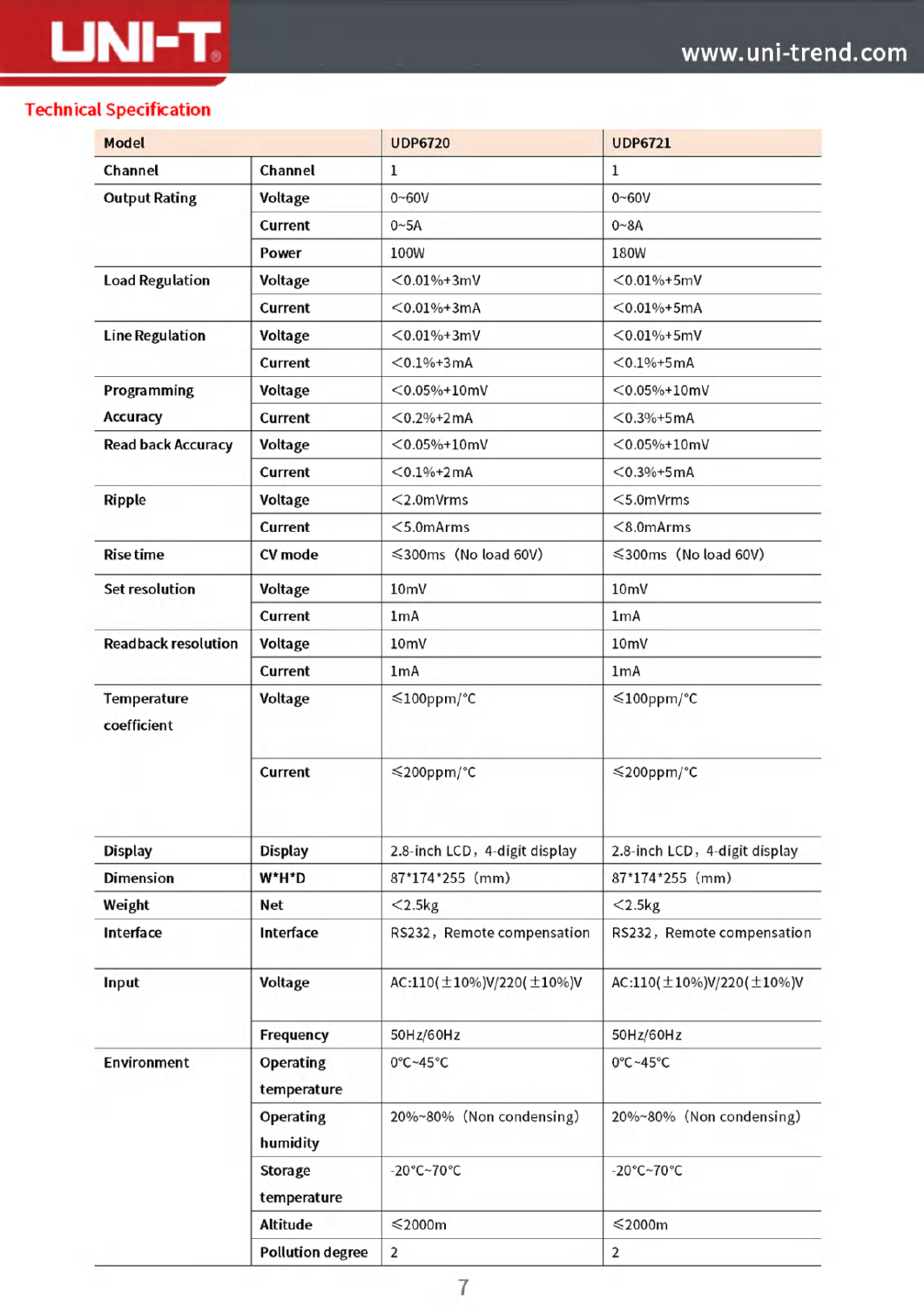#### **Technical Specification**

**LINI-T.** 

| <b>Model</b>               |                                 | <b>UDP6720</b>                       | <b>UDP6721</b>                       |  |
|----------------------------|---------------------------------|--------------------------------------|--------------------------------------|--|
| Channel                    | Channel                         | $\mathbf{1}$                         | 1                                    |  |
| <b>Output Rating</b>       | Voltage                         | $0 - 60V$                            | $0 - 60V$                            |  |
|                            | Current                         | 0~5A                                 | $0 - 8A$                             |  |
|                            | Power                           | 100W                                 | 180W                                 |  |
| <b>Load Regulation</b>     | Voltage                         | $<$ 0.01%+3mV                        | $< 0.01\% + 5mV$                     |  |
|                            | Current                         | $< 0.01\% + 3mA$                     | $< 0.01\% + 5mA$                     |  |
| <b>Line Regulation</b>     | Voltage                         | $< 0.01\% + 3mV$                     | $< 0.01\% + 5mV$                     |  |
|                            | Current                         | $<$ 0.1%+3mA                         | $<$ 0.1%+5mA                         |  |
| Programming                | Voltage                         | $<$ 0.05%+10mV                       | $<$ 0.05%+10mV                       |  |
| Accuracy                   | Current                         | $<$ 0.2%+2mA                         | $<$ 0.3%+5mA                         |  |
| <b>Read back Accuracy</b>  | Voltage                         | $< 0.05\% + 10$ mV                   | $< 0.05\% + 10$ mV                   |  |
|                            | Current                         | $< 0.1\% + 2mA$                      | $< 0.3\% + 5mA$                      |  |
| Ripple                     | Voltage                         | $<$ 2.0mVrms                         | $<$ 5.0mVrms                         |  |
|                            | Current                         | $<$ 5.0mArms                         | $< 8.0$ m $Arms$                     |  |
| <b>Rise time</b>           | <b>CV</b> mode                  | ≤300ms (No load 60V)                 | ≤300ms (No load 60V)                 |  |
| <b>Set resolution</b>      | Voltage                         | 10 <sub>mV</sub>                     | 10 <sub>mV</sub>                     |  |
|                            | Current                         | 1mA                                  | 1mA                                  |  |
| <b>Readback resolution</b> | Voltage                         | 10 <sub>mV</sub>                     | 10 <sub>mV</sub>                     |  |
|                            | Current                         | 1mA                                  | 1mA                                  |  |
| Temperature<br>coefficient | Voltage                         | ≤100ppm/°C                           | $\leq$ 100ppm/°C                     |  |
|                            | Current                         | ≤200ppm/°C                           | ≤200ppm/°C                           |  |
| <b>Display</b>             | <b>Display</b>                  | 2.8-inch LCD, 4-digit display        | 2.8-inch LCD, 4-digit display        |  |
| <b>Dimension</b>           | W*H*D                           | 87*174*255 (mm)                      | 87*174*255 (mm)                      |  |
| Weight                     | <b>Net</b>                      | $<$ 2.5 $kg$                         | $<$ 2.5 $kg$                         |  |
| Interface                  | Interface                       | RS232, Remote compensation           | RS232, Remote compensation           |  |
| Input                      | Voltage                         | AC:110( $\pm$ 10%)V/220( $\pm$ 10%)V | AC:110( $\pm$ 10%)V/220( $\pm$ 10%)V |  |
|                            | Frequency                       | 50Hz/60Hz                            | 50Hz/60Hz                            |  |
| <b>Environment</b>         | <b>Operating</b><br>temperature | 0°C~45°C                             | 0°C~45°C                             |  |
|                            | <b>Operating</b><br>humidity    | 20%~80% (Non condensing)             | 20%~80% (Non condensing)             |  |
|                            | <b>Storage</b><br>temperature   | -20°C~70°C                           | $-20^{\circ}$ C $-70^{\circ}$ C      |  |
|                            | <b>Altitude</b>                 | $\leqslant$ 2000m                    | $≤2000m$                             |  |
|                            | <b>Pollution degree</b>         | $\overline{2}$                       | 2                                    |  |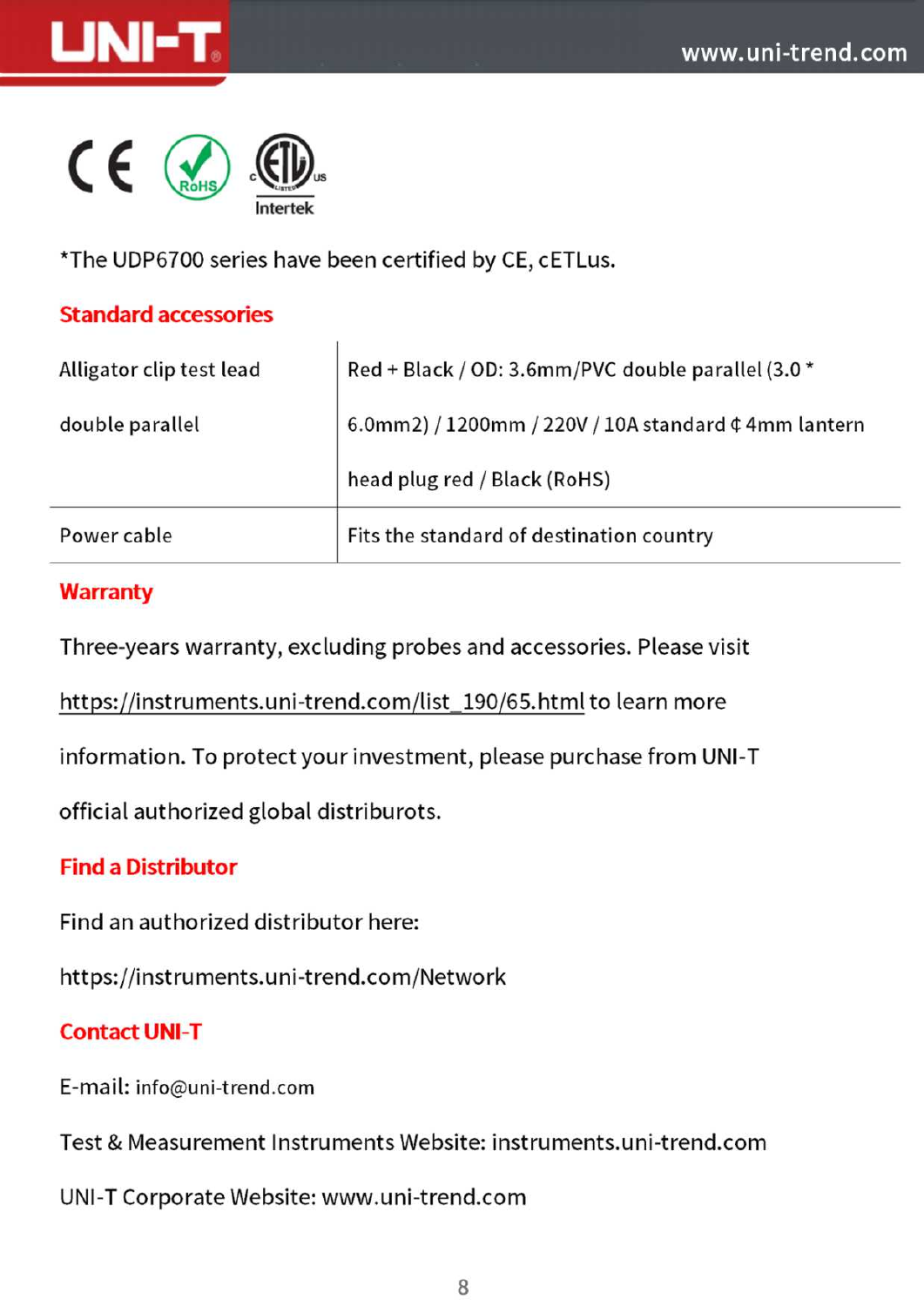



\*The UDP6700 series have been certified by CE, cETLus.

#### **Standard accessories**

| Alligator clip test lead | Red + Black / OD: 3.6mm/PVC double parallel (3.0 *                        |
|--------------------------|---------------------------------------------------------------------------|
| double parallel          | 6.0mm2) / 1200mm / 220V / 10A standard $\text{\textsterling}$ 4mm lantern |
|                          | head plug red / Black (RoHS)                                              |
| Power cable              | Fits the standard of destination country                                  |

#### **Warranty**

Three-years warranty, excluding probes and accessories. Please visit

https://instruments.uni-trend.com/list\_190/65.html to learn more

information. To protect your investment, please purchase from UNI-T

official authorized global distriburots.

#### **Find a Distributor**

Find an authorized distributor here:

https:// instruments.uni-trend.com/Network

#### **Contact UNI-T**

E-mail: info@uni-trend.com

Test & Measurement Instruments Website: instruments.uni-trend.com

UNI-T Corporate Website:www.uni-trend.com